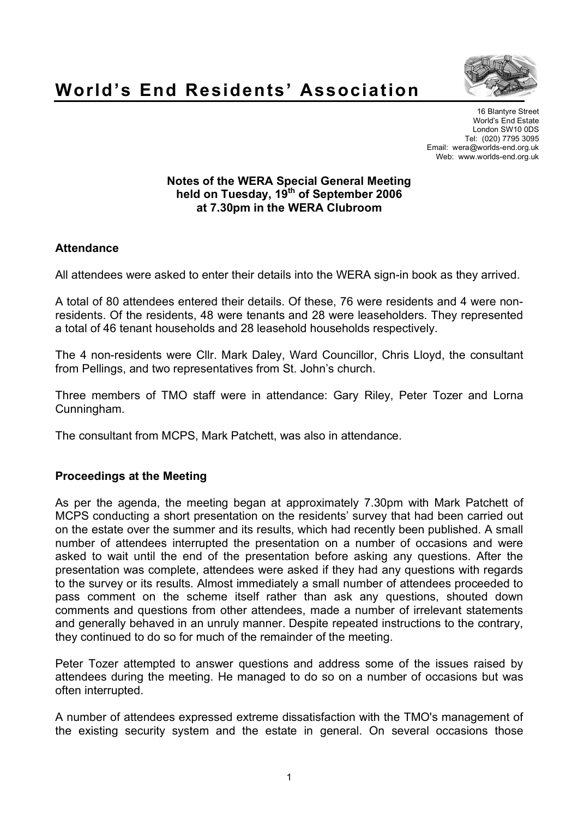



16 Blantyre Street World's End Estate London SW10 0DS Tel: (020) 7795 3095 Email: wera@worlds-end.org.uk Web: www.worlds-end.org.uk

### **Notes of the WERA Special General Meeting held on Tuesday, 19th of September 2006 at 7.30pm in the WERA Clubroom**

# **Attendance**

All attendees were asked to enter their details into the WERA sign-in book as they arrived.

A total of 80 attendees entered their details. Of these, 76 were residents and 4 were nonresidents. Of the residents, 48 were tenants and 28 were leaseholders. They represented a total of 46 tenant households and 28 leasehold households respectively.

The 4 non-residents were Cllr. Mark Daley, Ward Councillor, Chris Lloyd, the consultant from Pellings, and two representatives from St. John's church.

Three members of TMO staff were in attendance: Gary Riley, Peter Tozer and Lorna Cunningham.

The consultant from MCPS, Mark Patchett, was also in attendance.

### **Proceedings at the Meeting**

As per the agenda, the meeting began at approximately 7.30pm with Mark Patchett of MCPS conducting a short presentation on the residents' survey that had been carried out on the estate over the summer and its results, which had recently been published. A small number of attendees interrupted the presentation on a number of occasions and were asked to wait until the end of the presentation before asking any questions. After the presentation was complete, attendees were asked if they had any questions with regards to the survey or its results. Almost immediately a small number of attendees proceeded to pass comment on the scheme itself rather than ask any questions, shouted down comments and questions from other attendees, made a number of irrelevant statements and generally behaved in an unruly manner. Despite repeated instructions to the contrary, they continued to do so for much of the remainder of the meeting.

Peter Tozer attempted to answer questions and address some of the issues raised by attendees during the meeting. He managed to do so on a number of occasions but was often interrupted.

A number of attendees expressed extreme dissatisfaction with the TMO's management of the existing security system and the estate in general. On several occasions those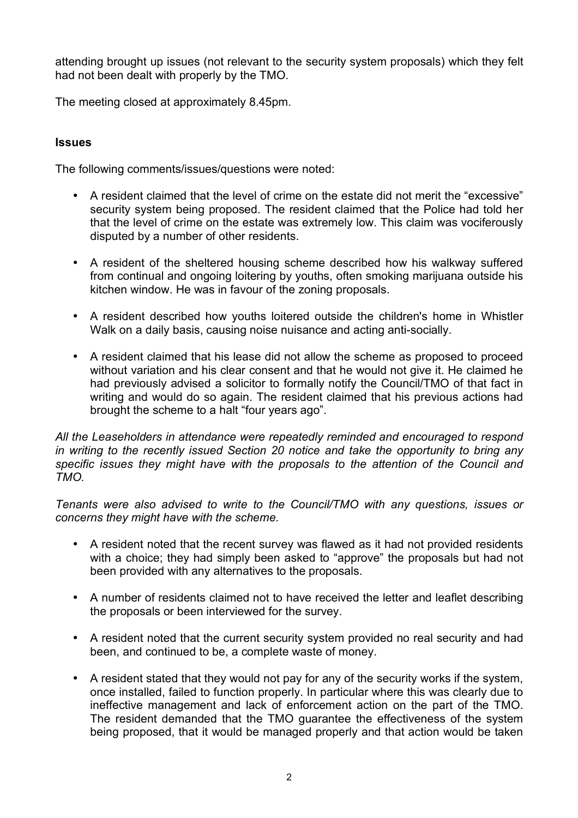attending brought up issues (not relevant to the security system proposals) which they felt had not been dealt with properly by the TMO.

The meeting closed at approximately 8.45pm.

### **Issues**

The following comments/issues/questions were noted:

- A resident claimed that the level of crime on the estate did not merit the "excessive" security system being proposed. The resident claimed that the Police had told her that the level of crime on the estate was extremely low. This claim was vociferously disputed by a number of other residents.
- A resident of the sheltered housing scheme described how his walkway suffered from continual and ongoing loitering by youths, often smoking marijuana outside his kitchen window. He was in favour of the zoning proposals.
- A resident described how youths loitered outside the children's home in Whistler Walk on a daily basis, causing noise nuisance and acting anti-socially.
- A resident claimed that his lease did not allow the scheme as proposed to proceed without variation and his clear consent and that he would not give it. He claimed he had previously advised a solicitor to formally notify the Council/TMO of that fact in writing and would do so again. The resident claimed that his previous actions had brought the scheme to a halt "four years ago".

*All the Leaseholders in attendance were repeatedly reminded and encouraged to respond in writing to the recently issued Section 20 notice and take the opportunity to bring any specific issues they might have with the proposals to the attention of the Council and TMO.*

*Tenants were also advised to write to the Council/TMO with any questions, issues or concerns they might have with the scheme.*

- A resident noted that the recent survey was flawed as it had not provided residents with a choice; they had simply been asked to "approve" the proposals but had not been provided with any alternatives to the proposals.
- A number of residents claimed not to have received the letter and leaflet describing the proposals or been interviewed for the survey.
- A resident noted that the current security system provided no real security and had been, and continued to be, a complete waste of money.
- A resident stated that they would not pay for any of the security works if the system, once installed, failed to function properly. In particular where this was clearly due to ineffective management and lack of enforcement action on the part of the TMO. The resident demanded that the TMO guarantee the effectiveness of the system being proposed, that it would be managed properly and that action would be taken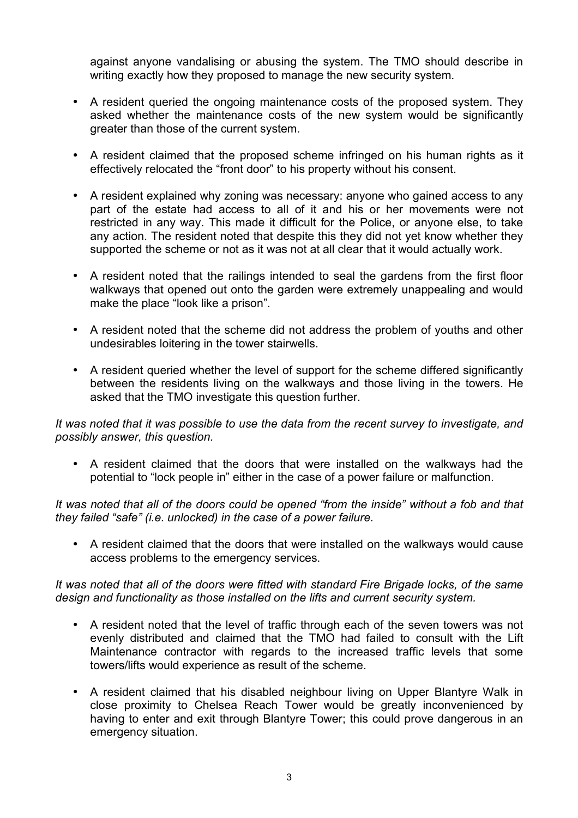against anyone vandalising or abusing the system. The TMO should describe in writing exactly how they proposed to manage the new security system.

- A resident queried the ongoing maintenance costs of the proposed system. They asked whether the maintenance costs of the new system would be significantly greater than those of the current system.
- A resident claimed that the proposed scheme infringed on his human rights as it effectively relocated the "front door" to his property without his consent.
- A resident explained why zoning was necessary: anyone who gained access to any part of the estate had access to all of it and his or her movements were not restricted in any way. This made it difficult for the Police, or anyone else, to take any action. The resident noted that despite this they did not yet know whether they supported the scheme or not as it was not at all clear that it would actually work.
- A resident noted that the railings intended to seal the gardens from the first floor walkways that opened out onto the garden were extremely unappealing and would make the place "look like a prison".
- A resident noted that the scheme did not address the problem of youths and other undesirables loitering in the tower stairwells.
- A resident queried whether the level of support for the scheme differed significantly between the residents living on the walkways and those living in the towers. He asked that the TMO investigate this question further.

*It was noted that it was possible to use the data from the recent survey to investigate, and possibly answer, this question.*

• A resident claimed that the doors that were installed on the walkways had the potential to "lock people in" either in the case of a power failure or malfunction.

*It was noted that all of the doors could be opened "from the inside" without a fob and that they failed "safe" (i.e. unlocked) in the case of a power failure.*

• A resident claimed that the doors that were installed on the walkways would cause access problems to the emergency services.

*It was noted that all of the doors were fitted with standard Fire Brigade locks, of the same design and functionality as those installed on the lifts and current security system.*

- A resident noted that the level of traffic through each of the seven towers was not evenly distributed and claimed that the TMO had failed to consult with the Lift Maintenance contractor with regards to the increased traffic levels that some towers/lifts would experience as result of the scheme.
- A resident claimed that his disabled neighbour living on Upper Blantyre Walk in close proximity to Chelsea Reach Tower would be greatly inconvenienced by having to enter and exit through Blantyre Tower; this could prove dangerous in an emergency situation.